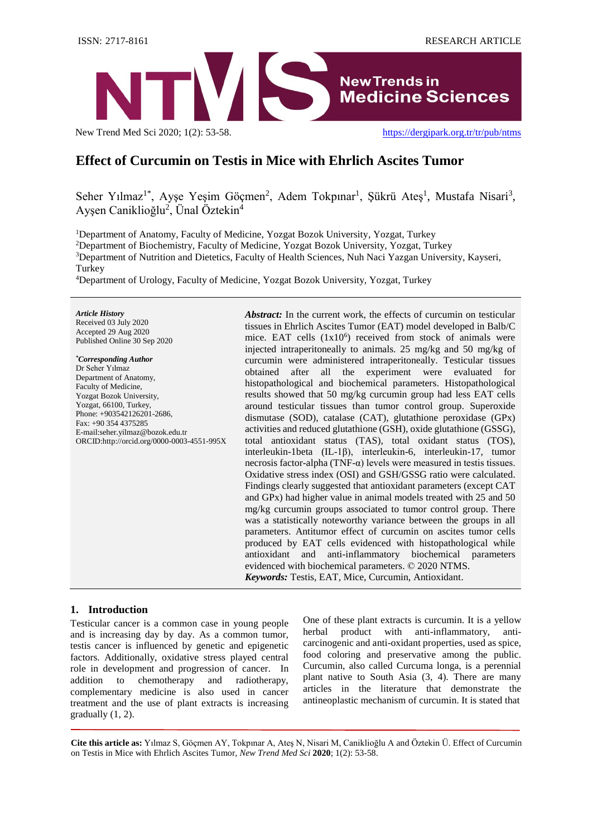

New Trend Med Sci 2020; 1(2): 53-58. <https://dergipark.org.tr/tr/pub/ntms>

# **Effect of Curcumin on Testis in Mice with Ehrlich Ascites Tumor**

Seher Yılmaz<sup>1\*</sup>, Ayşe Yeşim Göçmen<sup>2</sup>, Adem Tokpınar<sup>1</sup>, Şükrü Ateş<sup>1</sup>, Mustafa Nisari<sup>3</sup>, Ayşen Caniklioğlu<sup>2</sup>, Ünal Öztekin<sup>4</sup>

<sup>1</sup>Department of Anatomy, Faculty of Medicine, Yozgat Bozok University, Yozgat, Turkey <sup>2</sup>Department of Biochemistry, Faculty of Medicine, Yozgat Bozok University, Yozgat, Turkey <sup>3</sup>Department of Nutrition and Dietetics, Faculty of Health Sciences, Nuh Naci Yazgan University, Kayseri, Turkey

<sup>4</sup>Department of Urology, Faculty of Medicine, Yozgat Bozok University, Yozgat, Turkey

*Article History* Received 03 July 2020 Accepted 29 Aug 2020 Published Online 30 Sep 2020

*\*Corresponding Author* Dr Seher Yılmaz Department of Anatomy, Faculty of Medicine, Yozgat Bozok University, Yozgat, 66100, Turkey, Phone: +903542126201-2686, Fax: +90 354 4375285 E-mai[l:seher.yilmaz@bozok.edu.tr](mailto:seher.yilmaz@bozok.edu.tr) ORCID[:http://orcid.org/0000-0003-4551-995X](http://orcid.org/0000-0002-4000-2815)  *Abstract:* In the current work, the effects of curcumin on testicular tissues in Ehrlich Ascites Tumor (EAT) model developed in Balb/C mice. EAT cells  $(1x10^6)$  received from stock of animals were injected intraperitoneally to animals. 25 mg/kg and 50 mg/kg of curcumin were administered intraperitoneally. Testicular tissues obtained after all the experiment were evaluated for histopathological and biochemical parameters. Histopathological results showed that 50 mg/kg curcumin group had less EAT cells around testicular tissues than tumor control group. Superoxide dismutase (SOD), catalase (CAT), glutathione peroxidase (GPx) activities and reduced glutathione (GSH), oxide glutathione (GSSG), total antioxidant status (TAS), total oxidant status (TOS), interleukin-1beta (IL-1β), interleukin-6, interleukin-17, tumor necrosis factor-alpha (TNF-α) levels were measured in testis tissues. Oxidative stress index (OSI) and GSH/GSSG ratio were calculated. Findings clearly suggested that antioxidant parameters (except CAT and GPx) had higher value in animal models treated with 25 and 50 mg/kg curcumin groups associated to tumor control group. There was a statistically noteworthy variance between the groups in all parameters. Antitumor effect of curcumin on ascites tumor cells produced by EAT cells evidenced with histopathological while antioxidant and anti-inflammatory biochemical parameters evidenced with biochemical parameters. © 2020 NTMS. *Keywords:* Testis, EAT, Mice, Curcumin, Antioxidant.

## **1. Introduction**

Testicular cancer is a common case in young people and is increasing day by day. As a common tumor, testis cancer is influenced by genetic and epigenetic factors. Additionally, oxidative stress played central role in development and progression of cancer. In addition to chemotherapy and radiotherapy, complementary medicine is also used in cancer treatment and the use of plant extracts is increasing gradually (1, 2).

One of these plant extracts is curcumin. It is a yellow herbal product with anti-inflammatory, anticarcinogenic and anti-oxidant properties, used as spice, food coloring and preservative among the public. Curcumin, also called Curcuma longa, is a perennial plant native to South Asia (3, 4). There are many articles in the literature that demonstrate the antineoplastic mechanism of curcumin. It is stated that

**Cite this article as:** Yılmaz S, Göçmen AY, Tokpınar A, Ateş N, Nisari M, Caniklioğlu A and Öztekin Ü. Effect of Curcumin on Testis in Mice with Ehrlich Ascites Tumor, *New Trend Med Sci* **2020**; 1(2): 53-58.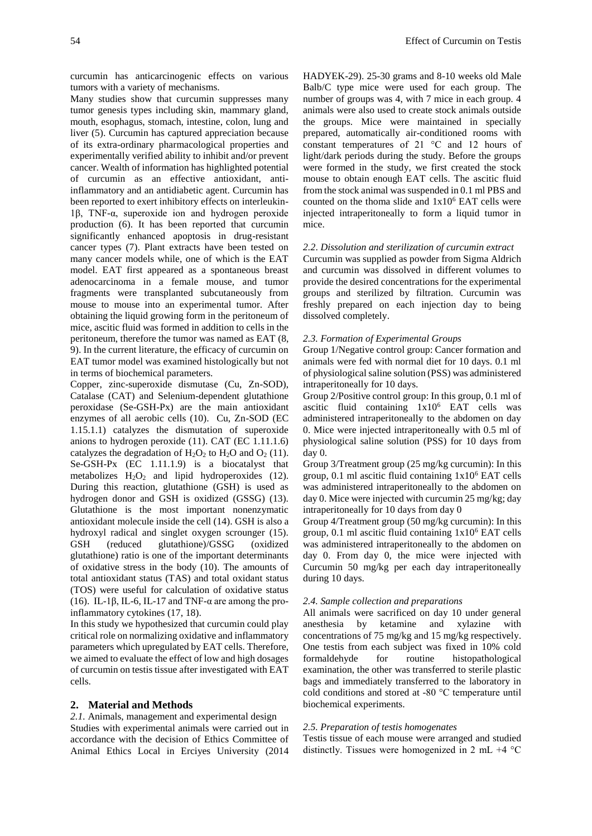curcumin has anticarcinogenic effects on various tumors with a variety of mechanisms.

Many studies show that curcumin suppresses many tumor genesis types including skin, mammary gland, mouth, esophagus, stomach, intestine, colon, lung and liver (5). Curcumin has captured appreciation because of its extra-ordinary pharmacological properties and experimentally verified ability to inhibit and/or prevent cancer. Wealth of information has highlighted potential of curcumin as an effective antioxidant, antiinflammatory and an antidiabetic agent. Curcumin has been reported to exert inhibitory effects on interleukin-1β, TNF-α, superoxide ion and hydrogen peroxide production (6). It has been reported that curcumin significantly enhanced apoptosis in drug-resistant cancer types (7). Plant extracts have been tested on many cancer models while, one of which is the EAT model. EAT first appeared as a spontaneous breast adenocarcinoma in a female mouse, and tumor fragments were transplanted subcutaneously from mouse to mouse into an experimental tumor. After obtaining the liquid growing form in the peritoneum of mice, ascitic fluid was formed in addition to cells in the peritoneum, therefore the tumor was named as EAT (8, 9). In the current literature, the efficacy of curcumin on EAT tumor model was examined histologically but not in terms of biochemical parameters.

Copper, zinc-superoxide dismutase (Cu, Zn-SOD), Catalase (CAT) and Selenium-dependent glutathione peroxidase (Se-GSH-Px) are the main antioxidant enzymes of all aerobic cells (10). Cu, Zn-SOD (EC 1.15.1.1) catalyzes the dismutation of superoxide anions to hydrogen peroxide (11). CAT (EC 1.11.1.6) catalyzes the degradation of  $H_2O_2$  to  $H_2O$  and  $O_2$  (11). Se-GSH-Px (EC 1.11.1.9) is a biocatalyst that metabolizes  $H_2O_2$  and lipid hydroperoxides (12). During this reaction, glutathione (GSH) is used as hydrogen donor and GSH is oxidized (GSSG) (13). Glutathione is the most important nonenzymatic antioxidant molecule inside the cell (14). GSH is also a hydroxyl radical and singlet oxygen scrounger (15). GSH (reduced glutathione)/GSSG (oxidized glutathione) ratio is one of the important determinants of oxidative stress in the body (10). The amounts of total antioxidant status (TAS) and total oxidant status (TOS) were useful for calculation of oxidative status (16). IL-1β, IL-6, IL-17 and TNF- $\alpha$  are among the proinflammatory cytokines (17, 18).

In this study we hypothesized that curcumin could play critical role on normalizing oxidative and inflammatory parameters which upregulated by EAT cells. Therefore, we aimed to evaluate the effect of low and high dosages of curcumin on testis tissue after investigated with EAT cells.

### **2. Material and Methods**

*2.1.* Animals, management and experimental design Studies with experimental animals were carried out in accordance with the decision of Ethics Committee of Animal Ethics Local in Erciyes University (2014 HADYEK-29). 25-30 grams and 8-10 weeks old Male Balb/C type mice were used for each group. The number of groups was 4, with 7 mice in each group. 4 animals were also used to create stock animals outside the groups. Mice were maintained in specially prepared, automatically air-conditioned rooms with constant temperatures of 21 °C and 12 hours of light/dark periods during the study. Before the groups were formed in the study, we first created the stock mouse to obtain enough EAT cells. The ascitic fluid from the stock animal was suspended in 0.1 ml PBS and counted on the thoma slide and  $1x10^6$  EAT cells were injected intraperitoneally to form a liquid tumor in mice.

#### *2.2*. *Dissolution and sterilization of curcumin extract*

Curcumin was supplied as powder from Sigma Aldrich and curcumin was dissolved in different volumes to provide the desired concentrations for the experimental groups and sterilized by filtration. Curcumin was freshly prepared on each injection day to being dissolved completely.

#### *2.3. Formation of Experimental Groups*

Group 1/Negative control group: Cancer formation and animals were fed with normal diet for 10 days. 0.1 ml of physiological saline solution (PSS) was administered intraperitoneally for 10 days.

Group 2/Positive control group: In this group, 0.1 ml of ascitic fluid containing 1x10<sup>6</sup> EAT cells was administered intraperitoneally to the abdomen on day 0. Mice were injected intraperitoneally with 0.5 ml of physiological saline solution (PSS) for 10 days from day 0.

Group 3/Treatment group (25 mg/kg curcumin): In this group,  $0.1$  ml ascitic fluid containing  $1x10^6$  EAT cells was administered intraperitoneally to the abdomen on day 0. Mice were injected with curcumin 25 mg/kg; day intraperitoneally for 10 days from day 0

Group 4/Treatment group (50 mg/kg curcumin): In this group,  $0.1$  ml ascitic fluid containing  $1x10^6$  EAT cells was administered intraperitoneally to the abdomen on day 0. From day 0, the mice were injected with Curcumin 50 mg/kg per each day intraperitoneally during 10 days.

#### *2.4. Sample collection and preparations*

All animals were sacrificed on day 10 under general anesthesia by ketamine and xylazine with concentrations of 75 mg/kg and 15 mg/kg respectively. One testis from each subject was fixed in 10% cold formaldehyde for routine histopathological examination, the other was transferred to sterile plastic bags and immediately transferred to the laboratory in cold conditions and stored at -80 °C temperature until biochemical experiments.

## *2.5. Preparation of testis homogenates*

Testis tissue of each mouse were arranged and studied distinctly. Tissues were homogenized in 2 mL +4 °C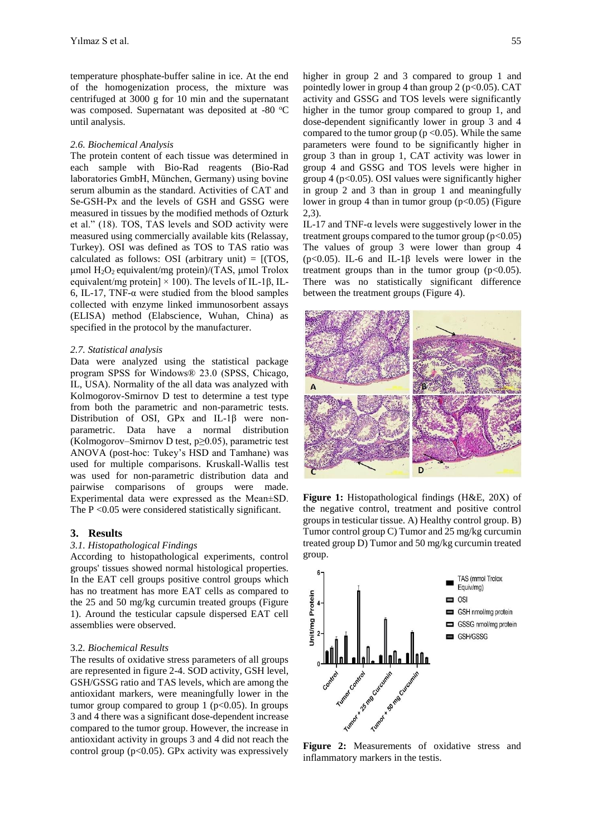temperature phosphate-buffer saline in ice. At the end of the homogenization process, the mixture was centrifuged at 3000 g for 10 min and the supernatant was composed. Supernatant was deposited at -80 °C until analysis.

#### *2.6. Biochemical Analysis*

The protein content of each tissue was determined in each sample with Bio-Rad reagents (Bio-Rad laboratories GmbH, München, Germany) using bovine serum albumin as the standard. Activities of CAT and Se-GSH-Px and the levels of GSH and GSSG were measured in tissues by the modified methods of Ozturk et al." (18). TOS, TAS levels and SOD activity were measured using commercially available kits (Relassay, Turkey). OSI was defined as TOS to TAS ratio was calculated as follows: OSI (arbitrary unit)  $=$  [(TOS, μmol H2O2 equivalent/mg protein)/(TAS, μmol Trolox equivalent/mg protein]  $\times$  100). The levels of IL-1β, IL-6, IL-17, TNF-α were studied from the blood samples collected with enzyme linked immunosorbent assays (ELISA) method (Elabscience, Wuhan, China) as specified in the protocol by the manufacturer.

#### *2.7. Statistical analysis*

Data were analyzed using the statistical package program SPSS for Windows® 23.0 (SPSS, Chicago, IL, USA). Normality of the all data was analyzed with Kolmogorov-Smirnov D test to determine a test type from both the parametric and non-parametric tests. Distribution of OSI, GPx and IL-1β were nonparametric. Data have a normal distribution (Kolmogorov–Smirnov D test, p≥0.05), parametric test ANOVA (post-hoc: Tukey's HSD and Tamhane) was used for multiple comparisons. Kruskall-Wallis test was used for non-parametric distribution data and pairwise comparisons of groups were made. Experimental data were expressed as the Mean±SD. The  $P \le 0.05$  were considered statistically significant.

#### **3. Results**

#### *3.1. Histopathological Findings*

According to histopathological experiments, control groups' tissues showed normal histological properties. In the EAT cell groups positive control groups which has no treatment has more EAT cells as compared to the 25 and 50 mg/kg curcumin treated groups (Figure 1). Around the testicular capsule dispersed EAT cell assemblies were observed.

#### 3.2*. Biochemical Results*

The results of oxidative stress parameters of all groups are represented in figure 2-4. SOD activity, GSH level, GSH/GSSG ratio and TAS levels, which are among the antioxidant markers, were meaningfully lower in the tumor group compared to group 1 ( $p<0.05$ ). In groups 3 and 4 there was a significant dose-dependent increase compared to the tumor group. However, the increase in antioxidant activity in groups 3 and 4 did not reach the control group ( $p<0.05$ ). GPx activity was expressively higher in group 2 and 3 compared to group 1 and pointedly lower in group 4 than group 2 ( $p<0.05$ ). CAT activity and GSSG and TOS levels were significantly higher in the tumor group compared to group 1, and dose-dependent significantly lower in group 3 and 4 compared to the tumor group ( $p < 0.05$ ). While the same parameters were found to be significantly higher in group 3 than in group 1, CAT activity was lower in group 4 and GSSG and TOS levels were higher in group  $4$  ( $p<0.05$ ). OSI values were significantly higher in group 2 and 3 than in group 1 and meaningfully lower in group 4 than in tumor group  $(p<0.05)$  (Figure 2,3).

IL-17 and TNF- $\alpha$  levels were suggestively lower in the treatment groups compared to the tumor group  $(p<0.05)$ The values of group 3 were lower than group 4 ( $p<0.05$ ). IL-6 and IL-1 $\beta$  levels were lower in the treatment groups than in the tumor group  $(p<0.05)$ . There was no statistically significant difference between the treatment groups (Figure 4).



**Figure 1:** Histopathological findings (H&E, 20X) of the negative control, treatment and positive control groups in testicular tissue. A) Healthy control group. B) Tumor control group C) Tumor and 25 mg/kg curcumin treated group D) Tumor and 50 mg/kg curcumin treated group.



**Figure 2:** Measurements of oxidative stress and inflammatory markers in the testis.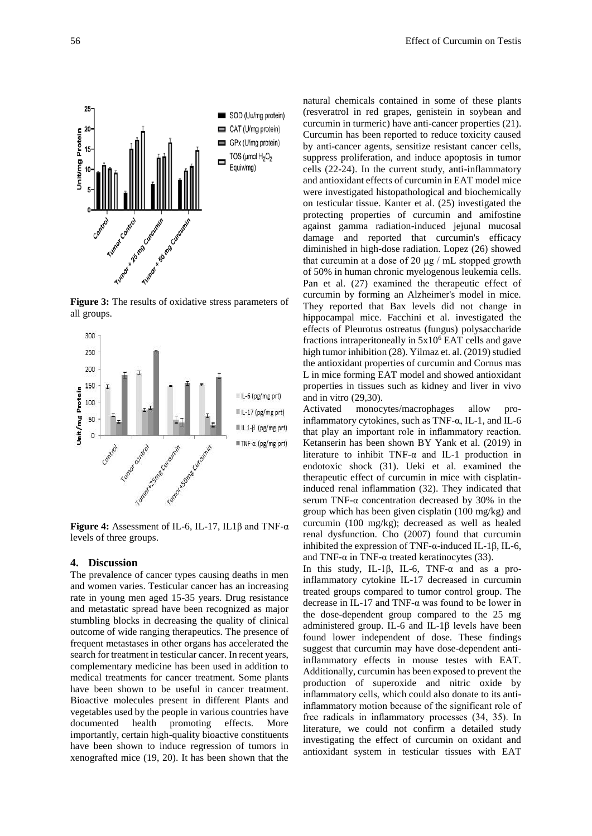

**Figure 3:** The results of oxidative stress parameters of all groups.



**Figure 4:** Assessment of IL-6, IL-17, IL1β and TNF-α levels of three groups.

## **4. Discussion**

The prevalence of cancer types causing deaths in men and women varies. Testicular cancer has an increasing rate in young men aged 15-35 years. Drug resistance and metastatic spread have been recognized as major stumbling blocks in decreasing the quality of clinical outcome of wide ranging therapeutics. The presence of frequent metastases in other organs has accelerated the search for treatment in testicular cancer. In recent years, complementary medicine has been used in addition to medical treatments for cancer treatment. Some plants have been shown to be useful in cancer treatment. Bioactive molecules present in different Plants and vegetables used by the people in various countries have documented health promoting effects. More importantly, certain high-quality bioactive constituents have been shown to induce regression of tumors in xenografted mice (19, 20). It has been shown that the natural chemicals contained in some of these plants (resveratrol in red grapes, genistein in soybean and curcumin in turmeric) have anti-cancer properties (21). Curcumin has been reported to reduce toxicity caused by anti-cancer agents, sensitize resistant cancer cells, suppress proliferation, and induce apoptosis in tumor cells (22-24). In the current study, anti-inflammatory and antioxidant effects of curcumin in EAT model mice were investigated histopathological and biochemically on testicular tissue. Kanter et al. (25) investigated the protecting properties of curcumin and amifostine against gamma radiation-induced jejunal mucosal damage and reported that curcumin's efficacy diminished in high-dose radiation. Lopez (26) showed that curcumin at a dose of 20 μg / mL stopped growth of 50% in human chronic myelogenous leukemia cells. Pan et al. (27) examined the therapeutic effect of curcumin by forming an Alzheimer's model in mice. They reported that Bax levels did not change in hippocampal mice. Facchini et al. investigated the effects of Pleurotus ostreatus (fungus) polysaccharide fractions intraperitoneally in  $5x10^6$  EAT cells and gave high tumor inhibition (28). Yilmaz et. al. (2019) studied the antioxidant properties of curcumin and Cornus mas L in mice forming EAT model and showed antioxidant properties in tissues such as kidney and liver in vivo and in vitro (29,30).

Activated monocytes/macrophages allow proinflammatory cytokines, such as TNF-α, IL-1, and IL-6 that play an important role in inflammatory reaction. Ketanserin has been shown BY Yank et al. (2019) in literature to inhibit TNF- $\alpha$  and IL-1 production in endotoxic shock (31). Ueki et al. examined the therapeutic effect of curcumin in mice with cisplatininduced renal inflammation (32). They indicated that serum TNF- $\alpha$  concentration decreased by 30% in the group which has been given cisplatin (100 mg/kg) and curcumin (100 mg/kg); decreased as well as healed renal dysfunction. Cho (2007) found that curcumin inhibited the expression of TNF- $\alpha$ -induced IL-1β, IL-6, and TNF- $α$  in TNF- $α$  treated keratinocytes (33).

In this study, IL-1β, IL-6, TNF-α and as a proinflammatory cytokine IL-17 decreased in curcumin treated groups compared to tumor control group. The decrease in IL-17 and TNF-α was found to be lower in the dose-dependent group compared to the 25 mg administered group. IL-6 and IL-1β levels have been found lower independent of dose. These findings suggest that curcumin may have dose-dependent antiinflammatory effects in mouse testes with EAT. Additionally, curcumin has been exposed to prevent the production of superoxide and nitric oxide by inflammatory cells, which could also donate to its antiinflammatory motion because of the significant role of free radicals in inflammatory processes (34, 35). In literature, we could not confirm a detailed study investigating the effect of curcumin on oxidant and antioxidant system in testicular tissues with EAT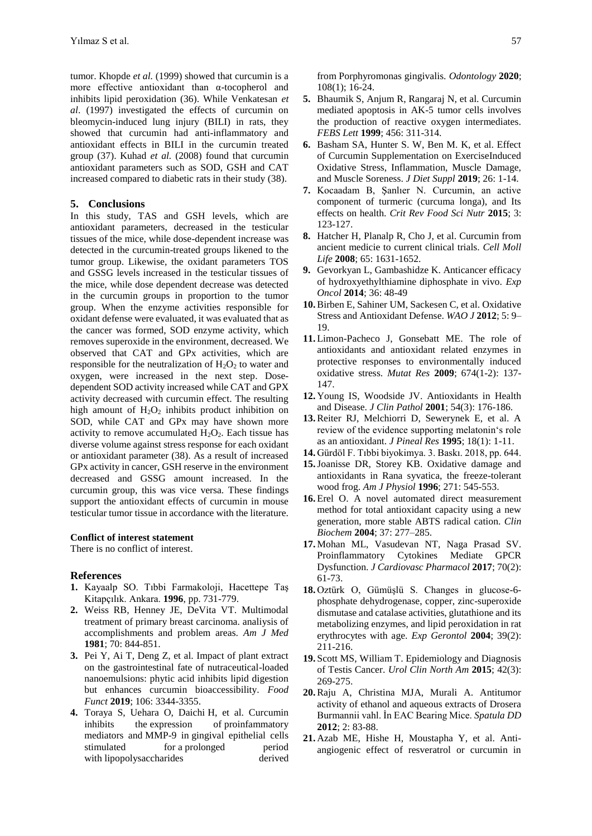tumor. Khopde *et al.* (1999) showed that curcumin is a more effective antioxidant than α-tocopherol and inhibits lipid peroxidation (36). While Venkatesan *et al*. (1997) investigated the effects of curcumin on bleomycin-induced lung injury (BILI) in rats, they showed that curcumin had anti-inflammatory and antioxidant effects in BILI in the curcumin treated group (37). Kuhad *et al.* (2008) found that curcumin antioxidant parameters such as SOD, GSH and CAT increased compared to diabetic rats in their study (38).

#### **5. Conclusions**

In this study, TAS and GSH levels, which are antioxidant parameters, decreased in the testicular tissues of the mice, while dose-dependent increase was detected in the curcumin-treated groups likened to the tumor group. Likewise, the oxidant parameters TOS and GSSG levels increased in the testicular tissues of the mice, while dose dependent decrease was detected in the curcumin groups in proportion to the tumor group. When the enzyme activities responsible for oxidant defense were evaluated, it was evaluated that as the cancer was formed, SOD enzyme activity, which removes superoxide in the environment, decreased. We observed that CAT and GPx activities, which are responsible for the neutralization of  $H_2O_2$  to water and oxygen, were increased in the next step. Dosedependent SOD activity increased while CAT and GPX activity decreased with curcumin effect. The resulting high amount of  $H_2O_2$  inhibits product inhibition on SOD, while CAT and GPx may have shown more activity to remove accumulated  $H_2O_2$ . Each tissue has diverse volume against stress response for each oxidant or antioxidant parameter (38). As a result of increased GPx activity in cancer, GSH reserve in the environment decreased and GSSG amount increased. In the curcumin group, this was vice versa. These findings support the antioxidant effects of curcumin in mouse testicular tumor tissue in accordance with the literature.

## **Conflict of interest statement**

There is no conflict of interest.

#### **References**

- **1.** Kayaalp SO. Tıbbi Farmakoloji, Hacettepe Taş Kitapçılık. Ankara. **1996**, pp. 731-779.
- **2.** Weiss RB, Henney JE, DeVita VT. Multimodal treatment of primary breast carcinoma. analiysis of accomplishments and problem areas. *Am J Med* **1981**; 70: 844-851.
- **3.** Pei Y, Ai T, Deng Z, et al. Impact of plant extract on the gastrointestinal fate of nutraceutical-loaded nanoemulsions: phytic acid inhibits lipid digestion but enhances curcumin bioaccessibility. *Food Funct* **2019**; 106: 3344-3355.
- **4.** Toraya S, Uehara O, Daichi H, et al. Curcumin inhibits the expression of proinfammatory mediators and MMP-9 in gingival epithelial cells stimulated for a prolonged period with lipopolysaccharides derived

from Porphyromonas gingivalis. *Odontology* **2020**; 108(1); 16-24.

- **5.** Bhaumik S, Anjum R, Rangaraj N, et al. Curcumin mediated apoptosis in AK-5 tumor cells involves the production of reactive oxygen intermediates. *FEBS Lett* **1999**; 456: 311-314.
- **6.** Basham SA, Hunter S. W, Ben M. K, et al. Effect of Curcumin Supplementation on ExerciseInduced Oxidative Stress, Inflammation, Muscle Damage, and Muscle Soreness. *J Diet Suppl* **2019**; 26: 1-14.
- **7.** Kocaadam B, Şanlıer N. Curcumin, an active component of turmeric (curcuma longa), and Its effects on health. *Crit Rev Food Sci Nutr* **2015**; 3: 123-127.
- **8.** Hatcher H, Planalp R, Cho J, et al. Curcumin from ancient medicie to current clinical trials. *Cell Moll Life* **2008**; 65: 1631-1652.
- **9.** Gevorkyan L, Gambashidze K. Anticancer efficacy of hydroxyethylthiamine diphosphate in vivo. *Exp Oncol* **2014**; 36: 48-49
- **10.**Birben E, Sahiner UM, Sackesen C, et al. Oxidative Stress and Antioxidant Defense. *WAO J* **2012**; 5: 9– 19.
- **11.** Limon-Pacheco J, Gonsebatt ME. The role of antioxidants and antioxidant related enzymes in protective responses to environmentally induced oxidative stress. *Mutat Res* **2009**; 674(1-2): 137- 147.
- **12.** Young IS, Woodside JV. Antioxidants in Health and Disease. *J Clin Pathol* **2001**; 54(3): 176-186.
- **13.**Reiter RJ, Melchiorri D, Sewerynek E, et al. A review of the evidence supporting melatonin's role as an antioxidant. *J Pineal Res* **1995**; 18(1): 1-11.
- **14.** Gürdöl F. Tıbbi biyokimya. 3. Baskı. 2018, pp. 644.
- **15.**Joanisse DR, Storey KB. Oxidative damage and antioxidants in Rana syvatica, the freeze-tolerant wood frog. *Am J Physiol* **1996**; 271: 545-553.
- **16.** Erel O. A novel automated direct measurement method for total antioxidant capacity using a new generation, more stable ABTS radical cation. *Clin Biochem* **2004**; 37: 277–285.
- **17.** Mohan ML, Vasudevan NT, Naga Prasad SV. Proinflammatory Cytokines Mediate GPCR Dysfunction. *J Cardiovasc Pharmacol* **2017**; 70(2): 61-73.
- **18.** Oztürk O, Gümüşlü S. Changes in glucose-6 phosphate dehydrogenase, copper, zinc-superoxide dismutase and catalase activities, glutathione and its metabolizing enzymes, and lipid peroxidation in rat erythrocytes with age. *Exp Gerontol* **2004**; 39(2): 211-216.
- **19.** Scott MS, William T. Epidemiology and Diagnosis of Testis Cancer. *Urol Clin North Am* **2015**; 42(3): 269-275.
- **20.**Raju A, Christina MJA, Murali A. Antitumor activity of ethanol and aqueous extracts of Drosera Burmannii vahl. İn EAC Bearing Mice. *Spatula DD* **2012**; 2: 83-88.
- **21.** Azab ME, Hishe H, Moustapha Y, et al. Antiangiogenic effect of resveratrol or curcumin in